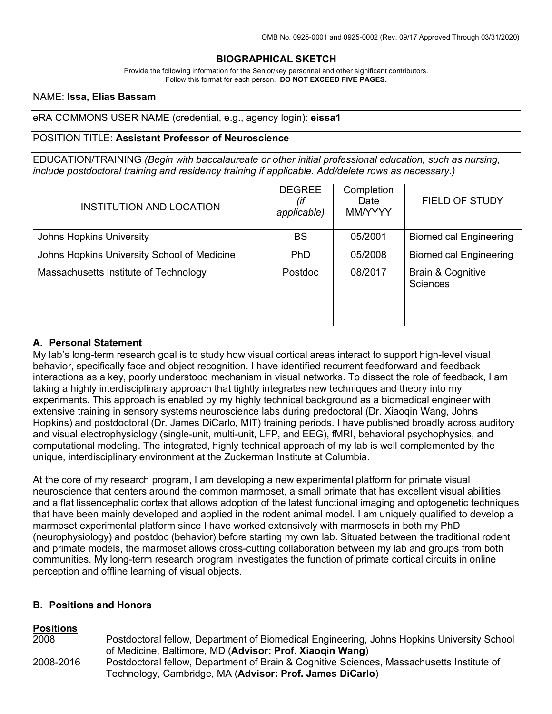### **BIOGRAPHICAL SKETCH**

Provide the following information for the Senior/key personnel and other significant contributors. Follow this format for each person. **DO NOT EXCEED FIVE PAGES.**

### NAME: **Issa, Elias Bassam**

### eRA COMMONS USER NAME (credential, e.g., agency login): **eissa1**

### POSITION TITLE: **Assistant Professor of Neuroscience**

EDUCATION/TRAINING *(Begin with baccalaureate or other initial professional education, such as nursing, include postdoctoral training and residency training if applicable. Add/delete rows as necessary.)*

| <b>INSTITUTION AND LOCATION</b>             | <b>DEGREE</b><br>(if<br>applicable) | Completion<br>Date<br>MM/YYYY | <b>FIELD OF STUDY</b>                           |
|---------------------------------------------|-------------------------------------|-------------------------------|-------------------------------------------------|
| Johns Hopkins University                    | <b>BS</b>                           | 05/2001                       | <b>Biomedical Engineering</b>                   |
| Johns Hopkins University School of Medicine | <b>PhD</b>                          | 05/2008                       | <b>Biomedical Engineering</b>                   |
| Massachusetts Institute of Technology       | Postdoc                             | 08/2017                       | <b>Brain &amp; Cognitive</b><br><b>Sciences</b> |

### **A. Personal Statement**

My lab's long-term research goal is to study how visual cortical areas interact to support high-level visual behavior, specifically face and object recognition. I have identified recurrent feedforward and feedback interactions as a key, poorly understood mechanism in visual networks. To dissect the role of feedback, I am taking a highly interdisciplinary approach that tightly integrates new techniques and theory into my experiments. This approach is enabled by my highly technical background as a biomedical engineer with extensive training in sensory systems neuroscience labs during predoctoral (Dr. Xiaoqin Wang, Johns Hopkins) and postdoctoral (Dr. James DiCarlo, MIT) training periods. I have published broadly across auditory and visual electrophysiology (single-unit, multi-unit, LFP, and EEG), fMRI, behavioral psychophysics, and computational modeling. The integrated, highly technical approach of my lab is well complemented by the unique, interdisciplinary environment at the Zuckerman Institute at Columbia.

At the core of my research program, I am developing a new experimental platform for primate visual neuroscience that centers around the common marmoset, a small primate that has excellent visual abilities and a flat lissencephalic cortex that allows adoption of the latest functional imaging and optogenetic techniques that have been mainly developed and applied in the rodent animal model. I am uniquely qualified to develop a marmoset experimental platform since I have worked extensively with marmosets in both my PhD (neurophysiology) and postdoc (behavior) before starting my own lab. Situated between the traditional rodent and primate models, the marmoset allows cross-cutting collaboration between my lab and groups from both communities. My long-term research program investigates the function of primate cortical circuits in online perception and offline learning of visual objects.

### **B. Positions and Honors**

#### **Positions**

| 2008      | Postdoctoral fellow, Department of Biomedical Engineering, Johns Hopkins University School |
|-----------|--------------------------------------------------------------------------------------------|
|           | of Medicine, Baltimore, MD (Advisor: Prof. Xiaogin Wang)                                   |
| 2008-2016 | Postdoctoral fellow, Department of Brain & Cognitive Sciences, Massachusetts Institute of  |
|           | Technology, Cambridge, MA (Advisor: Prof. James DiCarlo)                                   |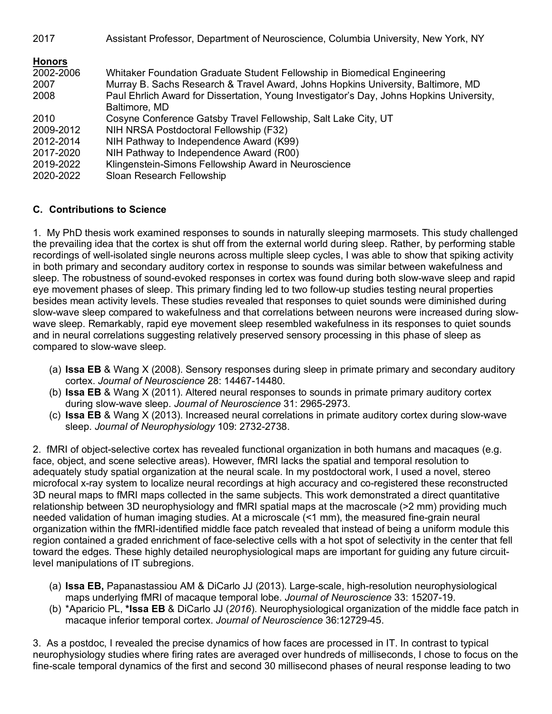| 2017          | Assistant Professor, Department of Neuroscience, Columbia University, New York, NY       |
|---------------|------------------------------------------------------------------------------------------|
| <b>Honors</b> |                                                                                          |
| 2002-2006     | Whitaker Foundation Graduate Student Fellowship in Biomedical Engineering                |
| 2007          | Murray B. Sachs Research & Travel Award, Johns Hopkins University, Baltimore, MD         |
| 2008          | Paul Ehrlich Award for Dissertation, Young Investigator's Day, Johns Hopkins University, |
|               | Baltimore, MD                                                                            |
| 2010          | Cosyne Conference Gatsby Travel Fellowship, Salt Lake City, UT                           |
| 2009-2012     | NIH NRSA Postdoctoral Fellowship (F32)                                                   |
| 2012-2014     | NIH Pathway to Independence Award (K99)                                                  |
| 2017-2020     | NIH Pathway to Independence Award (R00)                                                  |
| 2019-2022     | Klingenstein-Simons Fellowship Award in Neuroscience                                     |
| 2020-2022     | Sloan Research Fellowship                                                                |

# **C. Contributions to Science**

1. My PhD thesis work examined responses to sounds in naturally sleeping marmosets. This study challenged the prevailing idea that the cortex is shut off from the external world during sleep. Rather, by performing stable recordings of well-isolated single neurons across multiple sleep cycles, I was able to show that spiking activity in both primary and secondary auditory cortex in response to sounds was similar between wakefulness and sleep. The robustness of sound-evoked responses in cortex was found during both slow-wave sleep and rapid eye movement phases of sleep. This primary finding led to two follow-up studies testing neural properties besides mean activity levels. These studies revealed that responses to quiet sounds were diminished during slow-wave sleep compared to wakefulness and that correlations between neurons were increased during slowwave sleep. Remarkably, rapid eye movement sleep resembled wakefulness in its responses to quiet sounds and in neural correlations suggesting relatively preserved sensory processing in this phase of sleep as compared to slow-wave sleep.

- (a) **Issa EB** & Wang X (2008). Sensory responses during sleep in primate primary and secondary auditory cortex. *Journal of Neuroscience* 28: 14467-14480.
- (b) **Issa EB** & Wang X (2011). Altered neural responses to sounds in primate primary auditory cortex during slow-wave sleep. *Journal of Neuroscience* 31: 2965-2973.
- (c) **Issa EB** & Wang X (2013). Increased neural correlations in primate auditory cortex during slow-wave sleep. *Journal of Neurophysiology* 109: 2732-2738.

2. fMRI of object-selective cortex has revealed functional organization in both humans and macaques (e.g. face, object, and scene selective areas). However, fMRI lacks the spatial and temporal resolution to adequately study spatial organization at the neural scale. In my postdoctoral work, I used a novel, stereo microfocal x-ray system to localize neural recordings at high accuracy and co-registered these reconstructed 3D neural maps to fMRI maps collected in the same subjects. This work demonstrated a direct quantitative relationship between 3D neurophysiology and fMRI spatial maps at the macroscale (>2 mm) providing much needed validation of human imaging studies. At a microscale (<1 mm), the measured fine-grain neural organization within the fMRI-identified middle face patch revealed that instead of being a uniform module this region contained a graded enrichment of face-selective cells with a hot spot of selectivity in the center that fell toward the edges. These highly detailed neurophysiological maps are important for guiding any future circuitlevel manipulations of IT subregions.

- (a) **Issa EB,** Papanastassiou AM & DiCarlo JJ (2013). Large-scale, high-resolution neurophysiological maps underlying fMRI of macaque temporal lobe. *Journal of Neuroscience* 33: 15207-19.
- (b) \*Aparicio PL, **\*Issa EB** & DiCarlo JJ (*2016*). Neurophysiological organization of the middle face patch in macaque inferior temporal cortex. *Journal of Neuroscience* 36:12729-45.

3. As a postdoc, I revealed the precise dynamics of how faces are processed in IT. In contrast to typical neurophysiology studies where firing rates are averaged over hundreds of milliseconds, I chose to focus on the fine-scale temporal dynamics of the first and second 30 millisecond phases of neural response leading to two